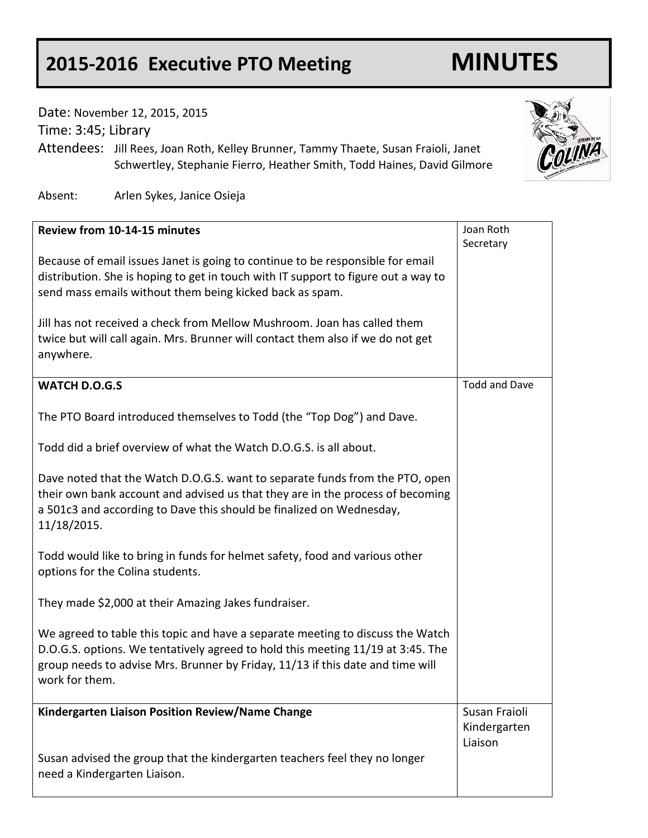## **2015-2016 Executive PTO Meeting MINUTES**

Date: November 12, 2015, 2015

Time: 3:45; Library

Attendees: Jill Rees, Joan Roth, Kelley Brunner, Tammy Thaete, Susan Fraioli, Janet Schwertley, Stephanie Fierro, Heather Smith, Todd Haines, David Gilmore

Absent: Arlen Sykes, Janice Osieja

| Review from 10-14-15 minutes                                                       | Joan Roth            |
|------------------------------------------------------------------------------------|----------------------|
|                                                                                    | Secretary            |
| Because of email issues Janet is going to continue to be responsible for email     |                      |
| distribution. She is hoping to get in touch with IT support to figure out a way to |                      |
| send mass emails without them being kicked back as spam.                           |                      |
|                                                                                    |                      |
| Jill has not received a check from Mellow Mushroom. Joan has called them           |                      |
| twice but will call again. Mrs. Brunner will contact them also if we do not get    |                      |
| anywhere.                                                                          |                      |
|                                                                                    |                      |
| <b>WATCH D.O.G.S</b>                                                               | <b>Todd and Dave</b> |
|                                                                                    |                      |
| The PTO Board introduced themselves to Todd (the "Top Dog") and Dave.              |                      |
|                                                                                    |                      |
| Todd did a brief overview of what the Watch D.O.G.S. is all about.                 |                      |
|                                                                                    |                      |
| Dave noted that the Watch D.O.G.S. want to separate funds from the PTO, open       |                      |
| their own bank account and advised us that they are in the process of becoming     |                      |
| a 501c3 and according to Dave this should be finalized on Wednesday,               |                      |
| 11/18/2015.                                                                        |                      |
|                                                                                    |                      |
| Todd would like to bring in funds for helmet safety, food and various other        |                      |
| options for the Colina students.                                                   |                      |
|                                                                                    |                      |
| They made \$2,000 at their Amazing Jakes fundraiser.                               |                      |
|                                                                                    |                      |
| We agreed to table this topic and have a separate meeting to discuss the Watch     |                      |
| D.O.G.S. options. We tentatively agreed to hold this meeting 11/19 at 3:45. The    |                      |
| group needs to advise Mrs. Brunner by Friday, 11/13 if this date and time will     |                      |
| work for them.                                                                     |                      |
|                                                                                    |                      |
| Kindergarten Liaison Position Review/Name Change                                   | Susan Fraioli        |
|                                                                                    | Kindergarten         |
|                                                                                    | Liaison              |
| Susan advised the group that the kindergarten teachers feel they no longer         |                      |
| need a Kindergarten Liaison.                                                       |                      |
|                                                                                    |                      |

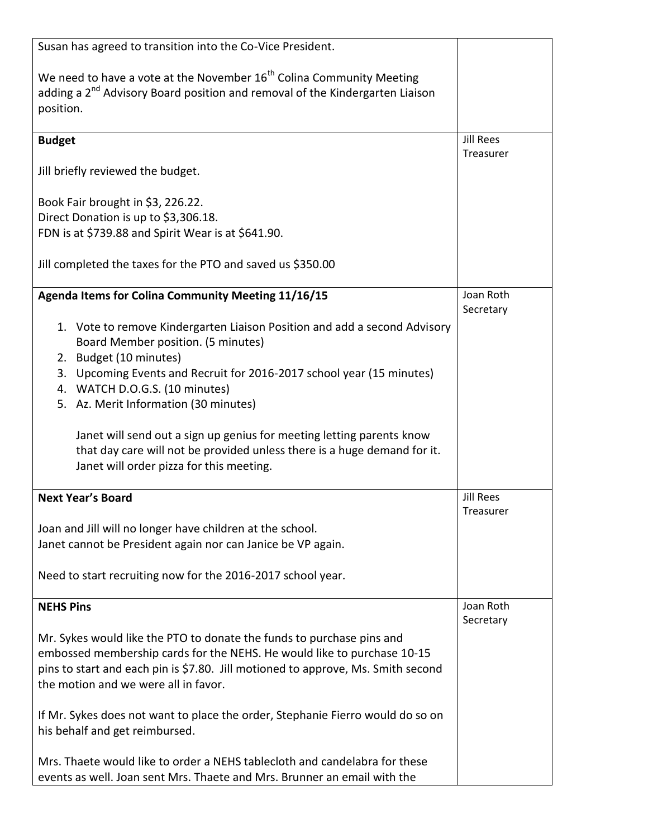| Susan has agreed to transition into the Co-Vice President.                                                                                                                                |                        |
|-------------------------------------------------------------------------------------------------------------------------------------------------------------------------------------------|------------------------|
| We need to have a vote at the November 16 <sup>th</sup> Colina Community Meeting<br>adding a 2 <sup>nd</sup> Advisory Board position and removal of the Kindergarten Liaison<br>position. |                        |
| <b>Budget</b>                                                                                                                                                                             | <b>Jill Rees</b>       |
| Jill briefly reviewed the budget.                                                                                                                                                         | Treasurer              |
| Book Fair brought in \$3, 226.22.                                                                                                                                                         |                        |
| Direct Donation is up to \$3,306.18.                                                                                                                                                      |                        |
| FDN is at \$739.88 and Spirit Wear is at \$641.90.                                                                                                                                        |                        |
|                                                                                                                                                                                           |                        |
| Jill completed the taxes for the PTO and saved us \$350.00                                                                                                                                |                        |
| Agenda Items for Colina Community Meeting 11/16/15                                                                                                                                        | Joan Roth              |
|                                                                                                                                                                                           | Secretary              |
| 1. Vote to remove Kindergarten Liaison Position and add a second Advisory                                                                                                                 |                        |
| Board Member position. (5 minutes)                                                                                                                                                        |                        |
| 2. Budget (10 minutes)                                                                                                                                                                    |                        |
| Upcoming Events and Recruit for 2016-2017 school year (15 minutes)<br>3.                                                                                                                  |                        |
| 4. WATCH D.O.G.S. (10 minutes)                                                                                                                                                            |                        |
| 5. Az. Merit Information (30 minutes)                                                                                                                                                     |                        |
|                                                                                                                                                                                           |                        |
| Janet will send out a sign up genius for meeting letting parents know                                                                                                                     |                        |
| that day care will not be provided unless there is a huge demand for it.<br>Janet will order pizza for this meeting.                                                                      |                        |
|                                                                                                                                                                                           |                        |
| <b>Next Year's Board</b>                                                                                                                                                                  | <b>Jill Rees</b>       |
|                                                                                                                                                                                           | Treasurer              |
| Joan and Jill will no longer have children at the school.                                                                                                                                 |                        |
| Janet cannot be President again nor can Janice be VP again.                                                                                                                               |                        |
|                                                                                                                                                                                           |                        |
| Need to start recruiting now for the 2016-2017 school year.                                                                                                                               |                        |
| <b>NEHS Pins</b>                                                                                                                                                                          | Joan Roth<br>Secretary |
| Mr. Sykes would like the PTO to donate the funds to purchase pins and                                                                                                                     |                        |
| embossed membership cards for the NEHS. He would like to purchase 10-15                                                                                                                   |                        |
| pins to start and each pin is \$7.80. Jill motioned to approve, Ms. Smith second                                                                                                          |                        |
| the motion and we were all in favor.                                                                                                                                                      |                        |
| If Mr. Sykes does not want to place the order, Stephanie Fierro would do so on                                                                                                            |                        |
| his behalf and get reimbursed.                                                                                                                                                            |                        |
|                                                                                                                                                                                           |                        |
| Mrs. Thaete would like to order a NEHS tablecloth and candelabra for these                                                                                                                |                        |
| events as well. Joan sent Mrs. Thaete and Mrs. Brunner an email with the                                                                                                                  |                        |